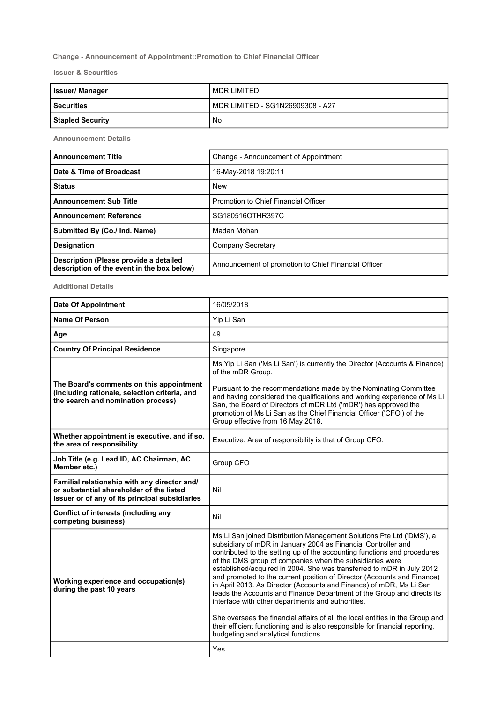## Change - Announcement of Appointment::Promotion to Chief Financial Officer

Issuer & Securities

| <b>Issuer/Manager</b>   | I MDR LIMITED                    |
|-------------------------|----------------------------------|
| <b>Securities</b>       | MDR LIMITED - SG1N26909308 - A27 |
| <b>Stapled Security</b> | No                               |

Announcement Details

| <b>Announcement Title</b>                                                            | Change - Announcement of Appointment                 |
|--------------------------------------------------------------------------------------|------------------------------------------------------|
| Date & Time of Broadcast                                                             | 16-May-2018 19:20:11                                 |
| <b>Status</b>                                                                        | <b>New</b>                                           |
| <b>Announcement Sub Title</b>                                                        | Promotion to Chief Financial Officer                 |
| <b>Announcement Reference</b>                                                        | SG180516OTHR397C                                     |
| Submitted By (Co./ Ind. Name)                                                        | Madan Mohan                                          |
| <b>Designation</b>                                                                   | <b>Company Secretary</b>                             |
| Description (Please provide a detailed<br>description of the event in the box below) | Announcement of promotion to Chief Financial Officer |

Additional Details

| <b>Date Of Appointment</b>                                                                                                                 | 16/05/2018                                                                                                                                                                                                                                                                                                                                                                                                                                                                                                                                                                                                                                                                                                                                                                                                                                       |
|--------------------------------------------------------------------------------------------------------------------------------------------|--------------------------------------------------------------------------------------------------------------------------------------------------------------------------------------------------------------------------------------------------------------------------------------------------------------------------------------------------------------------------------------------------------------------------------------------------------------------------------------------------------------------------------------------------------------------------------------------------------------------------------------------------------------------------------------------------------------------------------------------------------------------------------------------------------------------------------------------------|
| <b>Name Of Person</b>                                                                                                                      | Yip Li San                                                                                                                                                                                                                                                                                                                                                                                                                                                                                                                                                                                                                                                                                                                                                                                                                                       |
| Age                                                                                                                                        | 49                                                                                                                                                                                                                                                                                                                                                                                                                                                                                                                                                                                                                                                                                                                                                                                                                                               |
| <b>Country Of Principal Residence</b>                                                                                                      | Singapore                                                                                                                                                                                                                                                                                                                                                                                                                                                                                                                                                                                                                                                                                                                                                                                                                                        |
|                                                                                                                                            | Ms Yip Li San ('Ms Li San') is currently the Director (Accounts & Finance)<br>of the mDR Group.                                                                                                                                                                                                                                                                                                                                                                                                                                                                                                                                                                                                                                                                                                                                                  |
| The Board's comments on this appointment<br>(including rationale, selection criteria, and<br>the search and nomination process)            | Pursuant to the recommendations made by the Nominating Committee<br>and having considered the qualifications and working experience of Ms Li<br>San, the Board of Directors of mDR Ltd ('mDR') has approved the<br>promotion of Ms Li San as the Chief Financial Officer ('CFO') of the<br>Group effective from 16 May 2018.                                                                                                                                                                                                                                                                                                                                                                                                                                                                                                                     |
| Whether appointment is executive, and if so,<br>the area of responsibility                                                                 | Executive. Area of responsibility is that of Group CFO.                                                                                                                                                                                                                                                                                                                                                                                                                                                                                                                                                                                                                                                                                                                                                                                          |
| Job Title (e.g. Lead ID, AC Chairman, AC<br>Member etc.)                                                                                   | Group CFO                                                                                                                                                                                                                                                                                                                                                                                                                                                                                                                                                                                                                                                                                                                                                                                                                                        |
| Familial relationship with any director and/<br>or substantial shareholder of the listed<br>issuer or of any of its principal subsidiaries | Nil                                                                                                                                                                                                                                                                                                                                                                                                                                                                                                                                                                                                                                                                                                                                                                                                                                              |
| <b>Conflict of interests (including any</b><br>competing business)                                                                         | Nil                                                                                                                                                                                                                                                                                                                                                                                                                                                                                                                                                                                                                                                                                                                                                                                                                                              |
| Working experience and occupation(s)<br>during the past 10 years                                                                           | Ms Li San joined Distribution Management Solutions Pte Ltd ('DMS'), a<br>subsidiary of mDR in January 2004 as Financial Controller and<br>contributed to the setting up of the accounting functions and procedures<br>of the DMS group of companies when the subsidiaries were<br>established/acquired in 2004. She was transferred to mDR in July 2012<br>and promoted to the current position of Director (Accounts and Finance)<br>in April 2013. As Director (Accounts and Finance) of mDR, Ms Li San<br>leads the Accounts and Finance Department of the Group and directs its<br>interface with other departments and authorities.<br>She oversees the financial affairs of all the local entities in the Group and<br>their efficient functioning and is also responsible for financial reporting,<br>budgeting and analytical functions. |
|                                                                                                                                            | Yes                                                                                                                                                                                                                                                                                                                                                                                                                                                                                                                                                                                                                                                                                                                                                                                                                                              |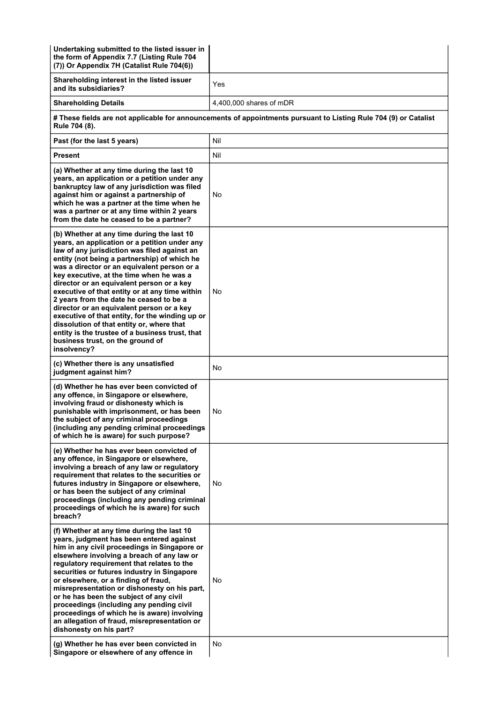| Undertaking submitted to the listed issuer in<br>the form of Appendix 7.7 (Listing Rule 704<br>(7)) Or Appendix 7H (Catalist Rule 704(6))                                                                                                                                                                                                                                                                                                                                                                                                                                                                                                                                           |                         |  |
|-------------------------------------------------------------------------------------------------------------------------------------------------------------------------------------------------------------------------------------------------------------------------------------------------------------------------------------------------------------------------------------------------------------------------------------------------------------------------------------------------------------------------------------------------------------------------------------------------------------------------------------------------------------------------------------|-------------------------|--|
| Shareholding interest in the listed issuer<br>and its subsidiaries?                                                                                                                                                                                                                                                                                                                                                                                                                                                                                                                                                                                                                 | Yes                     |  |
| <b>Shareholding Details</b>                                                                                                                                                                                                                                                                                                                                                                                                                                                                                                                                                                                                                                                         | 4,400,000 shares of mDR |  |
| # These fields are not applicable for announcements of appointments pursuant to Listing Rule 704 (9) or Catalist<br>Rule 704 (8).                                                                                                                                                                                                                                                                                                                                                                                                                                                                                                                                                   |                         |  |
| Past (for the last 5 years)                                                                                                                                                                                                                                                                                                                                                                                                                                                                                                                                                                                                                                                         | Nil                     |  |
| <b>Present</b>                                                                                                                                                                                                                                                                                                                                                                                                                                                                                                                                                                                                                                                                      | Nil                     |  |
| (a) Whether at any time during the last 10<br>years, an application or a petition under any<br>bankruptcy law of any jurisdiction was filed<br>against him or against a partnership of<br>which he was a partner at the time when he<br>was a partner or at any time within 2 years<br>from the date he ceased to be a partner?                                                                                                                                                                                                                                                                                                                                                     | No                      |  |
| (b) Whether at any time during the last 10<br>years, an application or a petition under any<br>law of any jurisdiction was filed against an<br>entity (not being a partnership) of which he<br>was a director or an equivalent person or a<br>key executive, at the time when he was a<br>director or an equivalent person or a key<br>executive of that entity or at any time within<br>2 years from the date he ceased to be a<br>director or an equivalent person or a key<br>executive of that entity, for the winding up or<br>dissolution of that entity or, where that<br>entity is the trustee of a business trust, that<br>business trust, on the ground of<br>insolvency? | No                      |  |
| (c) Whether there is any unsatisfied<br>judgment against him?                                                                                                                                                                                                                                                                                                                                                                                                                                                                                                                                                                                                                       | No                      |  |
| (d) Whether he has ever been convicted of<br>any offence, in Singapore or elsewhere,<br>involving fraud or dishonesty which is<br>punishable with imprisonment, or has been<br>the subject of any criminal proceedings<br>(including any pending criminal proceedings<br>of which he is aware) for such purpose?                                                                                                                                                                                                                                                                                                                                                                    | No                      |  |
| (e) Whether he has ever been convicted of<br>any offence, in Singapore or elsewhere,<br>involving a breach of any law or regulatory<br>requirement that relates to the securities or<br>futures industry in Singapore or elsewhere,<br>or has been the subject of any criminal<br>proceedings (including any pending criminal<br>proceedings of which he is aware) for such<br>breach?                                                                                                                                                                                                                                                                                              | No                      |  |
| (f) Whether at any time during the last 10<br>years, judgment has been entered against<br>him in any civil proceedings in Singapore or<br>elsewhere involving a breach of any law or<br>regulatory requirement that relates to the<br>securities or futures industry in Singapore<br>or elsewhere, or a finding of fraud,<br>misrepresentation or dishonesty on his part,<br>or he has been the subject of any civil<br>proceedings (including any pending civil<br>proceedings of which he is aware) involving<br>an allegation of fraud, misrepresentation or<br>dishonesty on his part?                                                                                          | No.                     |  |
| (g) Whether he has ever been convicted in<br>Singapore or elsewhere of any offence in                                                                                                                                                                                                                                                                                                                                                                                                                                                                                                                                                                                               | No                      |  |